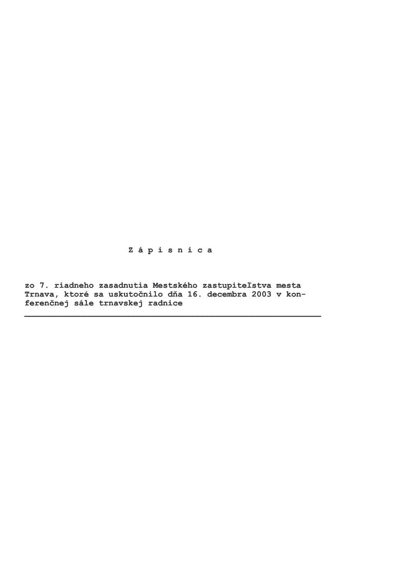Zápisnica

zo 7. riadneho zasadnutia Mestského zastupiteľstva mesta Trnava, ktoré sa uskutočnilo dňa 16. decembra 2003 v konferenčnej sále trnavskej radnice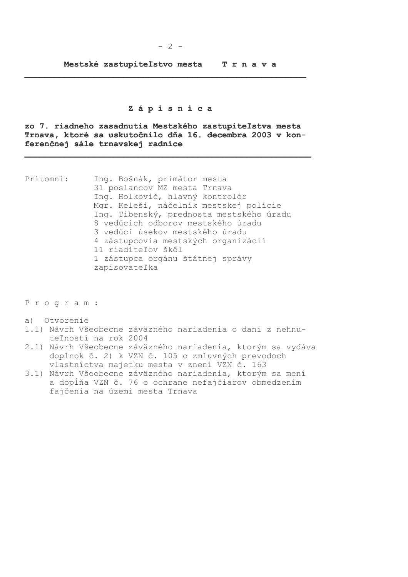## Zápisnica

zo 7. riadneho zasadnutia Mestského zastupiteľstva mesta Trnava, ktoré sa uskutočnilo dňa 16. decembra 2003 v konferenčnej sále trnavskej radnice

Prítomní: Ing. Bošnák, primátor mesta 31 poslancov MZ mesta Trnava Ing. Holkovič, hlavný kontrolór Mgr. Keleši, náčelník mestskej polície Ing. Tibenský, prednosta mestského úradu 8 vedúcich odborov mestského úradu 3 vedúci úsekov mestského úradu 4 zástupcovia mestských organizácií 11 riaditeľov škôl 1 zástupca orgánu štátnej správy zapisovateľka

Program:

- a) Otvorenie
- 1.1) Návrh Všeobecne záväzného nariadenia o dani z nehnuteľností na rok 2004
- 2.1) Návrh Všeobecne záväzného nariadenia, ktorým sa vydáva doplnok č. 2) k VZN č. 105 o zmluvných prevodoch vlastníctva majetku mesta v znení VZN č. 163
- 3.1) Návrh Všeobecne záväzného nariadenia, ktorým sa mení a dopĺňa VZN č. 76 o ochrane nefajčiarov obmedzením fajčenia na území mesta Trnava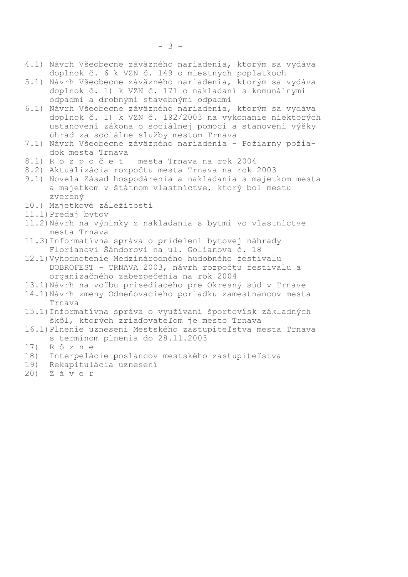- 4.1) Návrh Všeobecne záväzného nariadenia, ktorým sa vydáva doplnok č. 6 k VZN č. 149 o miestnych poplatkoch
- 5.1) Návrh Všeobecne záväzného nariadenia, ktorým sa vydáva doplnok č. 1) k VZN č. 171 o nakladaní s komunálnymi odpadmi a drobnými stavebnými odpadmi
- 6.1) Návrh Všeobecne záväzného nariadenia, ktorým sa vydáva doplnok č. 1) k VZN č. 192/2003 na vykonanie niektorých ustanovení zákona o sociálnej pomoci a stanovení výšky úhrad za sociálne služby mestom Trnava
- 7.1) Návrh Všeobecne záväzného nariadenia Požiarny požiadok mesta Trnava
- 8.1) Rozpočet mesta Trnava na rok 2004
- 8.2) Aktualizácia rozpočtu mesta Trnava na rok 2003
- 9.1) Novela Zásad hospodárenia a nakladania s majetkom mesta a majetkom v štátnom vlastníctve, ktorý bol mestu zverený
- 10.) Majetkové záležitosti
- 11.1) Predaj bytov
- 11.2) Návrh na výnimky z nakladania s bytmi vo vlastníctve mesta Trnava
- 11.3) Informatívna správa o pridelení bytovej náhrady Florianovi Šándorovi na ul. Golianova č. 18
- 12.1) Vyhodnotenie Medzinárodného hudobného festivalu DOBROFEST - TRNAVA 2003, návrh rozpočtu festivalu a organizačného zabezpečenia na rok 2004
- 13.1) Návrh na voľbu prísediaceho pre Okresný súd v Trnave
- 14.1) Návrh zmeny Odmeňovacieho poriadku zamestnancov mesta Trnava
- 15.1) Informatívna správa o využívaní športovísk základných škôl, ktorých zriaďovateľom je mesto Trnava
- 16.1) Plnenie uznesení Mestského zastupiteľstva mesta Trnava s termínom plnenia do 28.11.2003
- Rôzne 17)
- 18) Interpelácie poslancov mestského zastupiteľstva
- 19) Rekapitulácia uznesení
- Záver  $20)$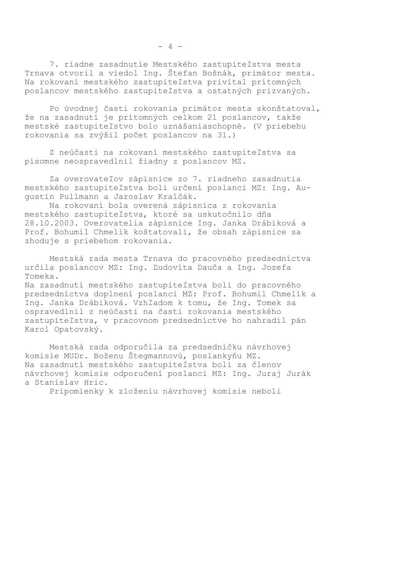7. riadne zasadnutie Mestského zastupiteľstva mesta Trnava otvoril a viedol Ing. Štefan Bošnák, primátor mesta. Na rokovaní mestského zastupiteľstva privítal prítomných poslancov mestského zastupiteľstva a ostatných prizvaných.

Po úvodnej časti rokovania primátor mesta skonštatoval, že na zasadnutí je prítomných celkom 21 poslancov, takže mestské zastupiteľstvo bolo uznášaniaschopné. (V priebehu rokovania sa zvýšil počet poslancov na 31.)

Z neúčasti na rokovaní mestského zastupiteľstva sa písomne neospravedlnil žiadny z poslancov MZ.

Za overovateľov zápisnice zo 7. riadneho zasadnutia mestského zastupiteľstva boli určení poslanci MZ: Ing. Augustín Pullmann a Jaroslav Kralčák.

Na rokovaní bola overená zápisnica z rokovania mestského zastupiteľstva, ktoré sa uskutočnilo dňa 28.10.2003. Overovatelia zápisnice Ing. Janka Drábiková a Prof. Bohumil Chmelík koštatovali, že obsah zápisnice sa zhoduje s priebehom rokovania.

Mestská rada mesta Trnava do pracovného predsedníctva určila poslancov MZ: Ing. Ľudovíta Dauča a Ing. Jozefa Tomeka.

Na zasadnutí mestského zastupiteľstva boli do pracovného predsedníctva doplnení poslanci MZ: Prof. Bohumil Chmelík a Ing. Janka Drábiková. Vzhľadom k tomu, že Ing. Tomek sa ospravedlnil z neúčasti na časti rokovania mestského zastupiteľstva, v pracovnom predsedníctve ho nahradil pán Karol Opatovský.

Mestská rada odporučila za predsedníčku návrhovej komisie MUDr. Boženu Štegmannovú, poslankyňu MZ. Na zasadnutí mestského zastupiteľstva boli za členov návrhovej komisie odporučení poslanci MZ: Ing. Juraj Jurák a Stanislav Hric.

Pripomienky k zloženiu návrhovej komisie neboli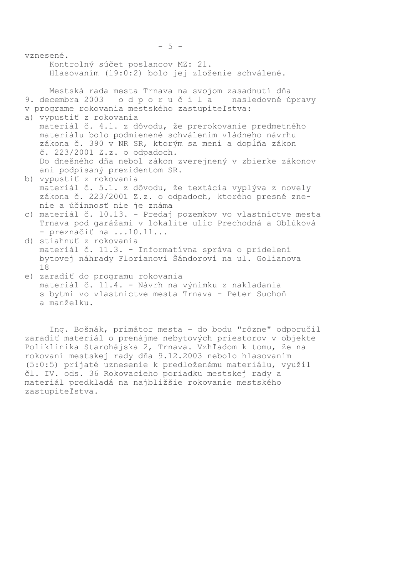| vznesené.<br>Kontrolný súčet poslancov MZ: 21. |                                                                                                                                                                                                        |
|------------------------------------------------|--------------------------------------------------------------------------------------------------------------------------------------------------------------------------------------------------------|
|                                                | Hlasovaním (19:0:2) bolo jej zloženie schválené.                                                                                                                                                       |
|                                                | Mestská rada mesta Trnava na svojom zasadnutí dňa<br>9. decembra 2003 odporučila nasledovné úpravy<br>v programe rokovania mestského zastupiteľstva:<br>a) vypustiť z rokovania                        |
|                                                | materiál č. 4.1. z dôvodu, že prerokovanie predmetného<br>materiálu bolo podmienené schválením vládneho návrhu<br>zákona č. 390 v NR SR, ktorým sa mení a dopĺňa zákon<br>č. 223/2001 Z.z. o odpadoch. |
|                                                | Do dnešného dňa nebol zákon zverejnený v zbierke zákonov<br>ani podpísaný prezidentom SR.<br>b) vypustiť z rokovania                                                                                   |
|                                                | materiál č. 5.1. z dôvodu, že textácia vyplýva z novely<br>zákona č. 223/2001 Z.z. o odpadoch, ktorého presné zne-<br>nie a účinnosť nie je známa                                                      |
| $\subset$ )                                    | materiál č. 10.13. - Predaj pozemkov vo vlastníctve mesta<br>Trnava pod garážami v lokalite ulíc Prechodná a Oblúková<br>- preznačiť na 10.11                                                          |
|                                                | d) stiahnuť z rokovania<br>materiál č. 11.3. - Informatívna správa o pridelení<br>bytovej náhrady Florianovi Šándorovi na ul. Golianova<br>18                                                          |
|                                                | e) zaradiť do programu rokovania<br>materiál č. 11.4. - Návrh na výnimku z nakladania<br>s bytmi vo vlastníctve mesta Trnava - Peter Suchoň<br>a manželku.                                             |

Ing. Bošnák, primátor mesta - do bodu "rôzne" odporučil zaradiť materiál o prenájme nebytových priestorov v objekte Poliklinika Starohájska 2, Trnava. Vzhľadom k tomu, že na rokovaní mestskej rady dňa 9.12.2003 nebolo hlasovaním (5:0:5) prijaté uznesenie k predloženému materiálu, využil čl. IV. ods. 36 Rokovacieho poriadku mestskej rady a materiál predkladá na najbližšie rokovanie mestského zastupiteľstva.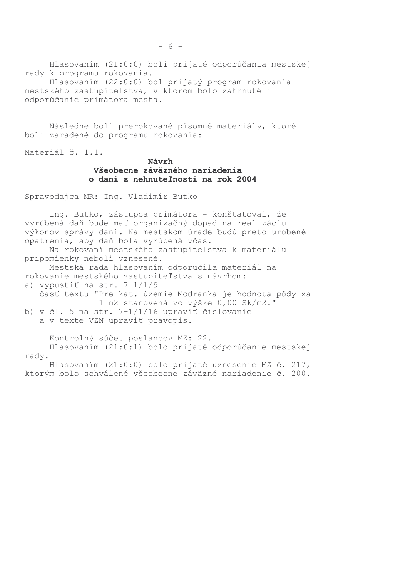Hlasovaním (21:0:0) boli prijaté odporúčania mestskej rady k programu rokovania. Hlasovaním (22:0:0) bol prijatý program rokovania mestského zastupiteľstva, v ktorom bolo zahrnuté i

odporúčanie primátora mesta.

Následne boli prerokované písomné materiály, ktoré boli zaradené do programu rokovania:

Materiál č. 1.1.

# Návrh Všeobecne záväzného nariadenia o dani z nehnuteľností na rok 2004

Spravodajca MR: Ing. Vladimír Butko

Ing. Butko, zástupca primátora - konštatoval, že vyrúbená daň bude mať organizačný dopad na realizáciu výkonov správy daní. Na mestskom úrade budú preto urobené opatrenia, aby daň bola vyrúbená včas.

Na rokovaní mestského zastupiteľstva k materiálu pripomienky neboli vznesené.

Mestská rada hlasovaním odporučila materiál na rokovanie mestského zastupiteľstva s návrhom: a) vypustiť na str.  $7-1/1/9$ 

časť textu "Pre kat. územie Modranka je hodnota pôdy za 1 m2 stanovená vo výške 0,00 Sk/m2."

b) v čl. 5 na str. 7-1/1/16 upraviť číslovanie a v texte VZN upraviť pravopis.

Kontrolný súčet poslancov MZ: 22.

Hlasovaním (21:0:1) bolo prijaté odporúčanie mestskej radv.

Hlasovaním (21:0:0) bolo prijaté uznesenie MZ č. 217, ktorým bolo schválené všeobecne záväzné nariadenie č. 200.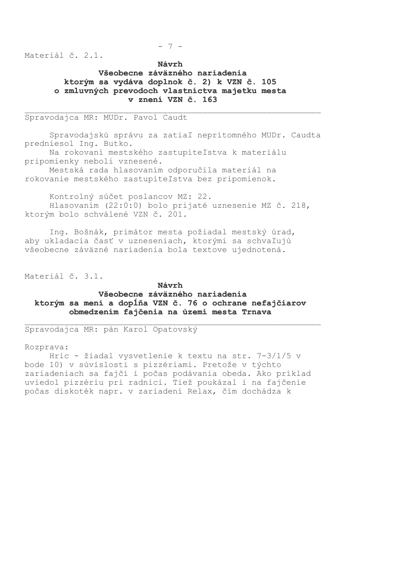$-7-$ 

Materiál č. 2.1.

Návrh Všeobecne záväzného nariadenia ktorým sa vydáva doplnok č. 2) k VZN č. 105 o zmluvných prevodoch vlastníctva majetku mesta v znení VZN č. 163

## Spravodajca MR: MUDr. Pavol Caudt

Spravodajskú správu za zatiaľ neprítomného MUDr. Caudta predniesol Ing. Butko.

Na rokovaní mestského zastupiteľstva k materiálu pripomienky neboli vznesené.

Mestská rada hlasovaním odporučila materiál na rokovanie mestského zastupiteľstva bez pripomienok.

Kontrolný súčet poslancov MZ: 22. Hlasovaním (22:0:0) bolo prijaté uznesenie MZ č. 218, ktorým bolo schválené VZN č. 201.

Ing. Bošnák, primátor mesta požiadal mestský úrad, aby ukladacia časť v uzneseniach, ktorými sa schvaľujú všeobecne záväzné nariadenia bola textove ujednotená.

Materiál č. 3.1.

#### Návrh

### Všeobecne záväzného nariadenia ktorým sa mení a dopĺňa VZN č. 76 o ochrane nefajčiarov obmedzením fajčenia na území mesta Trnava

Spravodajca MR: pán Karol Opatovský

Rozprava:

Hric - žiadal vysvetlenie k textu na str. 7-3/1/5 v bode 10) v súvislosti s pizzériami. Pretože v týchto zariadeniach sa fajčí i počas podávania obeda. Ako príklad uviedol pizzériu pri radnici. Tiež poukázal i na fajčenie počas diskoték napr. v zariadení Relax, čím dochádza k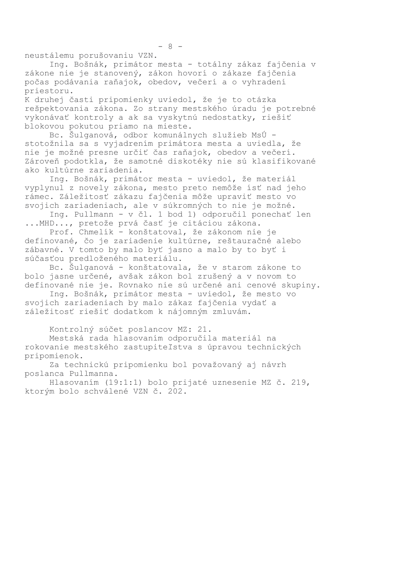neustálemu porušovaniu VZN.

Ing. Bošnák, primátor mesta - totálny zákaz fajčenia v zákone nie je stanovený, zákon hovorí o zákaze fajčenia počas podávania raňajok, obedov, večerí a o vyhradení priestoru.

K druhej časti pripomienky uviedol, že je to otázka rešpektovania zákona. Zo strany mestského úradu je potrebné vykonávať kontroly a ak sa vyskytnú nedostatky, riešiť blokovou pokutou priamo na mieste.

Bc. Šulganová, odbor komunálnych služieb MsÚ stotožnila sa s vyjadrením primátora mesta a uviedla, že nie je možné presne určiť čas raňajok, obedov a večerí. Zároveň podotkla, že samotné diskotéky nie sú klasifikované ako kultúrne zariadenia.

Ing. Bošnák, primátor mesta - uviedol, že materiál vyplynul z novely zákona, mesto preto nemôže ísť nad jeho rámec. Záležitosť zákazu fajčenia môže upraviť mesto vo svojich zariadeniach, ale v súkromných to nie je možné.

Ing. Pullmann - v čl. 1 bod 1) odporučil ponechať len ... MHD..., pretože prvá časť je citáciou zákona.

Prof. Chmelík - konštatoval, že zákonom nie je definované, čo je zariadenie kultúrne, reštauračné alebo zábavné. V tomto by malo byť jasno a malo by to byť i súčasťou predloženého materiálu.

Bc. Šulganová - konštatovala, že v starom zákone to bolo jasne určené, avšak zákon bol zrušený a v novom to definované nie je. Rovnako nie sú určené ani cenové skupiny.

Ing. Bošnák, primátor mesta - uviedol, že mesto vo svojich zariadeniach by malo zákaz fajčenia vydať a záležitosť riešiť dodatkom k nájomným zmluvám.

Kontrolný súčet poslancov MZ: 21.

Mestská rada hlasovaním odporučila materiál na rokovanie mestského zastupiteľstva s úpravou technických pripomienok.

Za technickú pripomienku bol považovaný aj návrh poslanca Pullmanna.

Hlasovaním (19:1:1) bolo prijaté uznesenie MZ č. 219, ktorým bolo schválené VZN č. 202.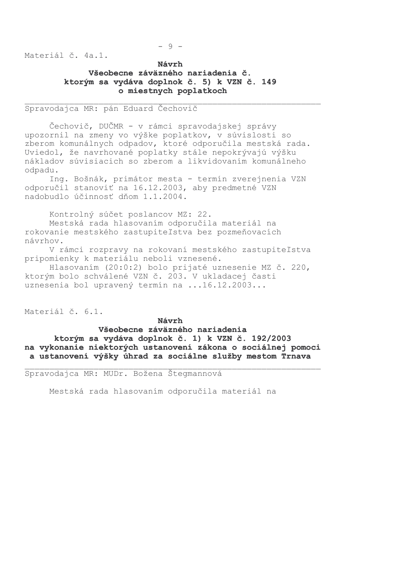$-9-$ 

Materiál č. 4a.1.

# Návrh Všeobecne záväzného nariadenia č. ktorým sa vydáva doplnok č. 5) k VZN č. 149 o miestnych poplatkoch

Spravodajca MR: pán Eduard Čechovič

Čechovič, DUČMR - v rámci spravodajskej správy upozornil na zmeny vo výške poplatkov, v súvislosti so zberom komunálnych odpadov, ktoré odporučila mestská rada. Uviedol, že navrhované poplatky stále nepokrývajú výšku nákladov súvisiacich so zberom a likvidovaním komunálneho odpadu.

Ing. Bošnák, primátor mesta - termín zverejnenia VZN odporučil stanoviť na 16.12.2003, aby predmetné VZN nadobudlo účinnosť dňom 1.1.2004.

Kontrolný súčet poslancov MZ: 22.

Mestská rada hlasovaním odporučila materiál na rokovanie mestského zastupiteľstva bez pozmeňovacích návrhov.

V rámci rozpravy na rokovaní mestského zastupiteľstva pripomienky k materiálu neboli vznesené.

Hlasovaním (20:0:2) bolo prijaté uznesenie MZ č. 220, ktorým bolo schválené VZN č. 203. V ukladacej časti uznesenia bol upravený termín na ...16.12.2003...

Materiál č. 6.1.

Návrh Všeobecne záväzného nariadenia ktorým sa vydáva doplnok č. 1) k VZN č. 192/2003 na vykonanie niektorých ustanovení zákona o sociálnej pomoci a ustanovení výšky úhrad za sociálne služby mestom Trnava

Spravodajca MR: MUDr. Božena Štegmannová

Mestská rada hlasovaním odporučila materiál na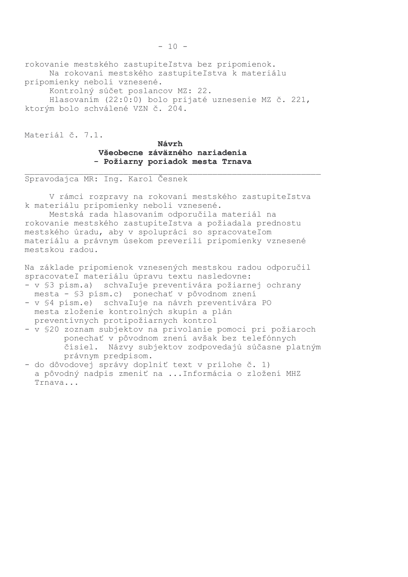rokovanie mestského zastupiteľstva bez pripomienok. Na rokovaní mestského zastupiteľstva k materiálu pripomienky neboli vznesené.

Kontrolný súčet poslancov MZ: 22.

Hlasovaním (22:0:0) bolo prijaté uznesenie MZ č. 221, ktorým bolo schválené VZN č. 204.

Materiál č. 7.1.

Návrh Všeobecne záväzného nariadenia - Požiarny poriadok mesta Trnava

Spravodajca MR: Ing. Karol Česnek

V rámci rozpravy na rokovaní mestského zastupiteľstva k materiálu pripomienky neboli vznesené.

Mestská rada hlasovaním odporučila materiál na rokovanie mestského zastupiteľstva a požiadala prednostu mestského úradu, aby v spolupráci so spracovateľom materiálu a právnym úsekom preverili pripomienky vznesené mestskou radou.

Na základe pripomienok vznesených mestskou radou odporučil spracovateľ materiálu úpravu textu nasledovne:

- v §3 písm.a) schvaľuje preventivára požiarnej ochrany mesta - \$3 písm.c) ponechať v pôvodnom znení
- v \$4 písm.e) schvaľuje na návrh preventivára PO mesta zloženie kontrolných skupín a plán preventívnych protipožiarnych kontrol
- v \$20 zoznam subjektov na privolanie pomoci pri požiaroch ponechať v pôvodnom znení avšak bez telefónnych čísiel. Názvy subjektov zodpovedajú súčasne platným právnym predpisom.
- do dôvodovej správy doplniť text v prílohe č. 1) a pôvodný nadpis zmeniť na ... Informácia o zložení MHZ Trnava...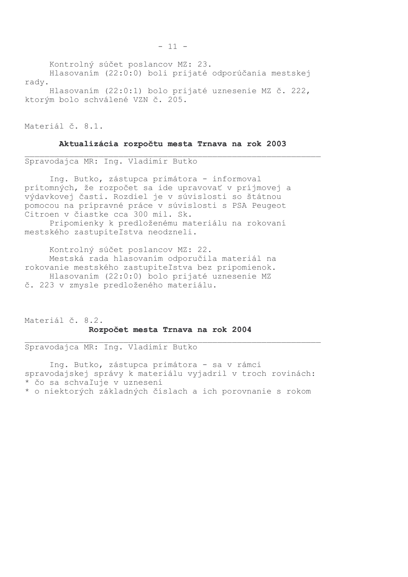Kontrolný súčet poslancov MZ: 23.

Hlasovaním (22:0:0) boli prijaté odporúčania mestskej rady.

Hlasovaním (22:0:1) bolo prijaté uznesenie MZ č. 222, ktorým bolo schválené VZN č. 205.

Materiál č. 8.1.

### Aktualizácia rozpočtu mesta Trnava na rok 2003

Spravodajca MR: Ing. Vladimír Butko

Ing. Butko, zástupca primátora - informoval prítomných, že rozpočet sa ide upravovať v príjmovej a výdavkovej časti. Rozdiel je v súvislosti so štátnou pomocou na prípravné práce v súvislosti s PSA Peugeot Citroen v čiastke cca 300 mil. Sk.

Pripomienky k predloženému materiálu na rokovaní mestského zastupiteľstva neodzneli.

Kontrolný súčet poslancov MZ: 22. Mestská rada hlasovaním odporučila materiál na rokovanie mestského zastupiteľstva bez pripomienok. Hlasovaním (22:0:0) bolo prijaté uznesenie MZ č. 223 v zmysle predloženého materiálu.

Materiál č. 8.2. Rozpočet mesta Trnava na rok 2004

Spravodajca MR: Ing. Vladimír Butko

Ing. Butko, zástupca primátora - sa v rámci spravodajskej správy k materiálu vyjadril v troch rovinách: \* čo sa schvaľuje v uznesení \* o niektorých základných číslach a ich porovnanie s rokom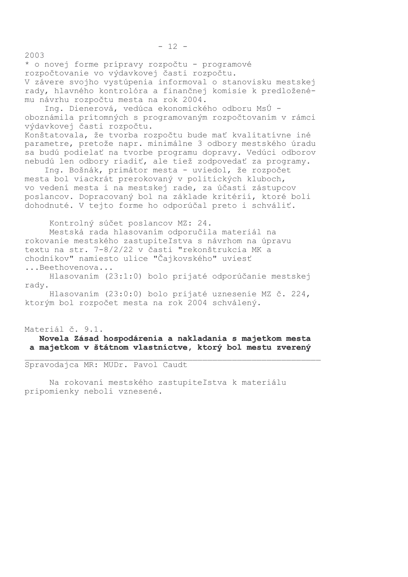\* o novej forme prípravy rozpočtu - programové rozpočtovanie vo výdavkovej časti rozpočtu. V závere svojho vystúpenia informoval o stanovisku mestskej rady, hlavného kontrolóra a finančnej komisie k predloženému návrhu rozpočtu mesta na rok 2004.

Ing. Dienerová, vedúca ekonomického odboru MsÚ oboznámila prítomných s programovaným rozpočtovaním v rámci výdavkovej časti rozpočtu.

Konštatovala, že tvorba rozpočtu bude mať kvalitatívne iné parametre, pretože napr. minimálne 3 odbory mestského úradu sa budú podielať na tvorbe programu dopravy. Vedúci odborov nebudú len odbory riadiť, ale tiež zodpovedať za programy.

Ing. Bošnák, primátor mesta - uviedol, že rozpočet mesta bol viackrát prerokovaný v politických kluboch, vo vedení mesta i na mestskej rade, za účasti zástupcov poslancov. Dopracovaný bol na základe kritérií, ktoré boli dohodnuté. V tejto forme ho odporúčal preto i schváliť.

Kontrolný súčet poslancov MZ: 24.

Mestská rada hlasovaním odporučila materiál na rokovanie mestského zastupiteľstva s návrhom na úpravu textu na str. 7-8/2/22 v časti "rekonštrukcia MK a chodníkov" namiesto ulice "Čajkovského" uviesť ... Reethovenova...

Hlasovaním (23:1:0) bolo prijaté odporúčanie mestskej rady.

Hlasovaním (23:0:0) bolo prijaté uznesenie MZ č. 224, ktorým bol rozpočet mesta na rok 2004 schválený.

## Materiál č. 9.1. Novela Zásad hospodárenia a nakladania s majetkom mesta a majetkom v štátnom vlastníctve, ktorý bol mestu zverený

Spravodajca MR: MUDr. Pavol Caudt

Na rokovaní mestského zastupiteľstva k materiálu pripomienky neboli vznesené.

 $2003$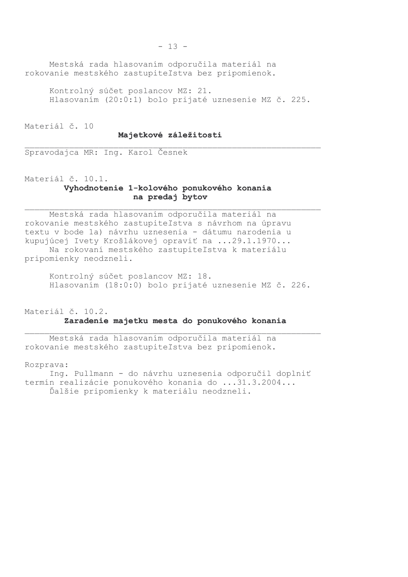Mestská rada hlasovaním odporučila materiál na rokovanie mestského zastupiteľstva bez pripomienok.

Kontrolný súčet poslancov MZ: 21. Hlasovaním (20:0:1) bolo prijaté uznesenie MZ č. 225.

Materiál č. 10

### Majetkové záležitosti

Spravodajca MR: Ing. Karol Česnek

Materiál č. 10.1.

## Vyhodnotenie 1-kolového ponukového konania na predaj bytov

Mestská rada hlasovaním odporučila materiál na rokovanie mestského zastupiteľstva s návrhom na úpravu textu v bode 1a) návrhu uznesenia - dátumu narodenia u kupujúcej Ivety Krošlákovej opraviť na ...29.1.1970... Na rokovaní mestského zastupiteľstva k materiálu pripomienky neodzneli.

Kontrolný súčet poslancov MZ: 18. Hlasovaním (18:0:0) bolo prijaté uznesenie MZ č. 226.

# Materiál č. 10.2. Zaradenie majetku mesta do ponukového konania

Mestská rada hlasovaním odporučila materiál na rokovanie mestského zastupiteľstva bez pripomienok.

Rozprava:

Ing. Pullmann - do návrhu uznesenia odporučil doplniť termín realizácie ponukového konania do ...31.3.2004... Ďalšie pripomienky k materiálu neodzneli.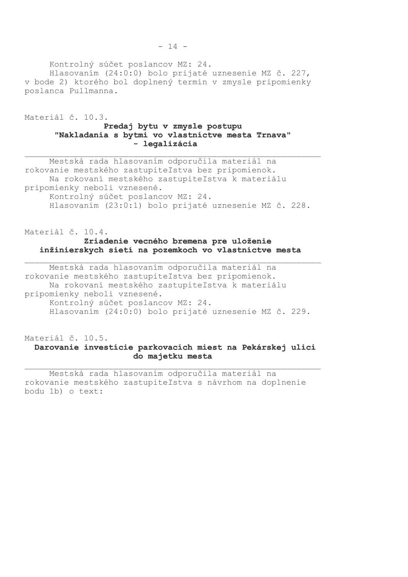Kontrolný súčet poslancov MZ: 24.

Hlasovaním (24:0:0) bolo prijaté uznesenie MZ č. 227, v bode 2) ktorého bol doplnený termín v zmysle pripomienky poslanca Pullmanna.

Materiál č. 10.3.

## Predaj bytu v zmysle postupu "Nakladania s bytmi vo vlastníctve mesta Trnava" - legalizácia

Mestská rada hlasovaním odporučila materiál na rokovanie mestského zastupiteľstva bez pripomienok. Na rokovaní mestského zastupiteľstva k materiálu pripomienky neboli vznesené. Kontrolný súčet poslancov MZ: 24. Hlasovaním (23:0:1) bolo prijaté uznesenie MZ č. 228.

# Materiál č. 10.4. Zriadenie vecného bremena pre uloženie inžinierskych sietí na pozemkoch vo vlastníctve mesta

Mestská rada hlasovaním odporučila materiál na rokovanie mestského zastupiteľstva bez pripomienok. Na rokovaní mestského zastupiteľstva k materiálu pripomienky neboli vznesené. Kontrolný súčet poslancov MZ: 24. Hlasovaním (24:0:0) bolo prijaté uznesenie MZ č. 229.

SSSSSSSSSSSSSSSSSSSSSSSSSSSSSSSSSSSSSSSSSSSSSSSSSSSSSSSSSSSS

Materiál č. 10.5.

## Darovanie investície parkovacích miest na Pekárskej ulici do majetku mesta

Mestská rada hlasovaním odporučila materiál na rokovanie mestského zastupiteľstva s návrhom na doplnenie bodu 1b) o text: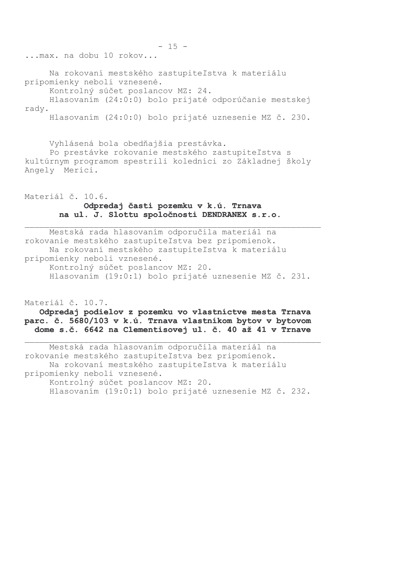... max. na dobu 10 rokov...

Na rokovaní mestského zastupiteľstva k materiálu pripomienky neboli vznesené.

Kontrolný súčet poslancov MZ: 24.

Hlasovaním (24:0:0) bolo prijaté odporúčanie mestskej rady.

Hlasovaním (24:0:0) bolo prijaté uznesenie MZ č. 230.

Vyhlásená bola obedňajšia prestávka.

Po prestávke rokovanie mestského zastupiteľstva s kultúrnym programom spestrili koledníci zo Základnej školy Angely Merici.

Materiál č. 10.6. Odpredaj časti pozemku v k.ú. Trnava na ul. J. Slottu spoločnosti DENDRANEX s.r.o.

Mestská rada hlasovaním odporučila materiál na rokovanie mestského zastupiteľstva bez pripomienok. Na rokovaní mestského zastupiteľstva k materiálu pripomienky neboli vznesené. Kontrolný súčet poslancov MZ: 20. Hlasovaním (19:0:1) bolo prijaté uznesenie MZ č. 231.

Materiál č. 10.7.

## Odpredaj podielov z pozemku vo vlastníctve mesta Trnava parc. č. 5680/103 v k.ú. Trnava vlastníkom bytov v bytovom dome s.č. 6642 na Clementisovej ul. č. 40 až 41 v Trnave

Mestská rada hlasovaním odporučila materiál na rokovanie mestského zastupiteľstva bez pripomienok. Na rokovaní mestského zastupiteľstva k materiálu pripomienky neboli vznesené. Kontrolný súčet poslancov MZ: 20. Hlasovaním (19:0:1) bolo prijaté uznesenie MZ č. 232.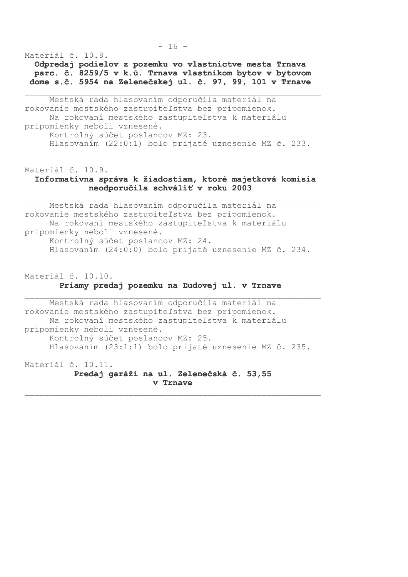Materiál č. 10.8.

Odpredaj podielov z pozemku vo vlastníctve mesta Trnava parc. č. 8259/5 v k.ú. Trnava vlastníkom bytov v bytovom dome s.č. 5954 na Zelenečskej ul. č. 97, 99, 101 v Trnave

Mestská rada hlasovaním odporučila materiál na rokovanie mestského zastupiteľstva bez pripomienok. Na rokovaní mestského zastupiteľstva k materiálu pripomienky neboli vznesené. Kontrolný súčet poslancov MZ: 23. Hlasovaním (22:0:1) bolo prijaté uznesenie MZ č. 233.

Materiál č. 10.9.

## Informatívna správa k žiadostiam, ktoré majetková komisia neodporučila schváliť v roku 2003

Mestská rada hlasovaním odporučila materiál na rokovanie mestského zastupiteľstva bez pripomienok. Na rokovaní mestského zastupiteľstva k materiálu pripomienky neboli vznesené. Kontrolný súčet poslancov MZ: 24. Hlasovaním (24:0:0) bolo prijaté uznesenie MZ č. 234.

Materiál č. 10.10.

### Priamy predaj pozemku na Ľudovej ul. v Trnave

Mestská rada hlasovaním odporučila materiál na rokovanie mestského zastupiteľstva bez pripomienok. Na rokovaní mestského zastupiteľstva k materiálu pripomienky neboli vznesené. Kontrolný súčet poslancov MZ: 25. Hlasovaním (23:1:1) bolo prijaté uznesenie MZ č. 235.

Materiál č. 10.11. Predaj garáží na ul. Zelenečská č. 53,55 v Trnave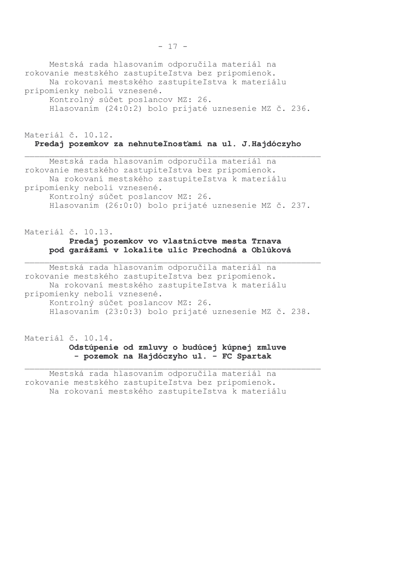Mestská rada hlasovaním odporučila materiál na rokovanie mestského zastupiteľstva bez pripomienok. Na rokovaní mestského zastupiteľstva k materiálu pripomienky neboli vznesené. Kontrolný súčet poslancov MZ: 26. Hlasovaním (24:0:2) bolo prijaté uznesenie MZ č. 236.

Materiál č. 10.12.

# Predaj pozemkov za nehnuteľnosťami na ul. J.Hajdóczyho

Mestská rada hlasovaním odporučila materiál na rokovanie mestského zastupiteľstva bez pripomienok. Na rokovaní mestského zastupiteľstva k materiálu pripomienky neboli vznesené. Kontrolný súčet poslancov MZ: 26. Hlasovaním (26:0:0) bolo prijaté uznesenie MZ č. 237.

# Materiál č. 10.13. Predaj pozemkov vo vlastníctve mesta Trnava pod garážami v lokalite ulíc Prechodná a Oblúková

Mestská rada hlasovaním odporučila materiál na rokovanie mestského zastupiteľstva bez pripomienok. Na rokovaní mestského zastupiteľstva k materiálu pripomienky neboli vznesené. Kontrolný súčet poslancov MZ: 26. Hlasovaním (23:0:3) bolo prijaté uznesenie MZ č. 238.

SSSSSSSSSSSSSSSSSSSSSSSSSSSSSSSSSSSSSSSSSSSSSSSSSSSSSSSSSSSS

Materiál č. 10.14. Odstúpenie od zmluvy o budúcej kúpnej zmluve - pozemok na Hajdóczyho ul. - FC Spartak

Mestská rada hlasovaním odporučila materiál na rokovanie mestského zastupiteľstva bez pripomienok. Na rokovaní mestského zastupiteľstva k materiálu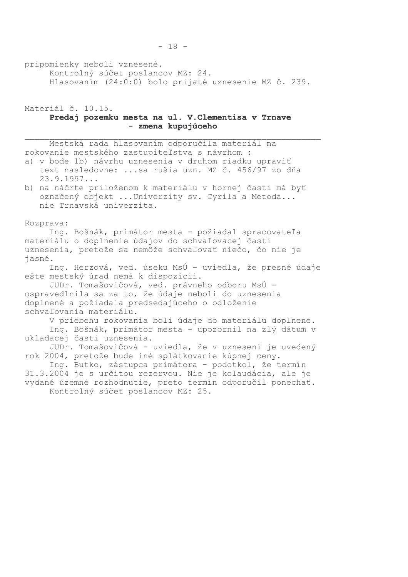pripomienky neboli vznesené.

Kontrolný súčet poslancov MZ: 24. Hlasovaním (24:0:0) bolo prijaté uznesenie MZ č. 239.

Materiál č. 10.15. Predaj pozemku mesta na ul. V. Clementisa v Trnave - zmena kupujúceho

Mestská rada hlasovaním odporučila materiál na rokovanie mestského zastupiteľstva s návrhom :

- a) v bode 1b) návrhu uznesenia v druhom riadku upraviť text nasledovne: ... sa rušia uzn. MZ č. 456/97 zo dňa  $23.9.1997...$
- b) na náčrte priloženom k materiálu v hornej časti má byť označený objekt ... Univerzity sv. Cyrila a Metoda... nie Trnavská univerzita.

Rozprava:

Ing. Bošnák, primátor mesta - požiadal spracovateľa materiálu o doplnenie údajov do schvaľovacej časti uznesenia, pretože sa nemôže schvaľovať niečo, čo nie je jasné.

Ing. Herzová, ved. úseku MsÚ - uviedla, že presné údaje ešte mestský úrad nemá k dispozícii.

JUDr. Tomašovičová, ved. právneho odboru MsÚ ospravedlnila sa za to, že údaje neboli do uznesenia doplnené a požiadala predsedajúceho o odloženie schvaľovania materiálu.

V priebehu rokovania boli údaje do materiálu doplnené.

Ing. Bošnák, primátor mesta - upozornil na zlý dátum v ukladacej časti uznesenia.

JUDr. Tomašovičová - uviedla, že v uznesení je uvedený rok 2004, pretože bude iné splátkovanie kúpnej ceny.

Ing. Butko, zástupca primátora - podotkol, že termín 31.3.2004 je s určitou rezervou. Nie je kolaudácia, ale je vydané územné rozhodnutie, preto termín odporučil ponechať. Kontrolný súčet poslancov MZ: 25.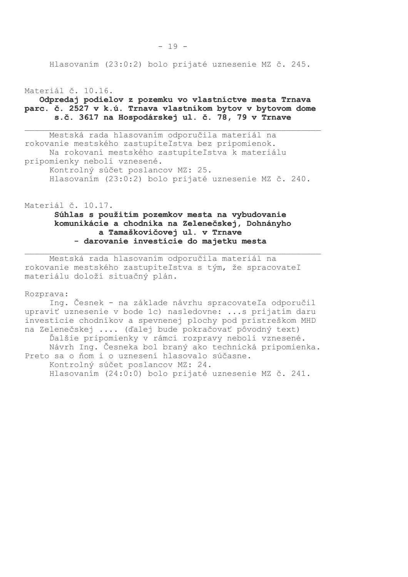Hlasovaním (23:0:2) bolo prijaté uznesenie MZ č. 245.

#### Materiál č. 10.16.

## Odpredaj podielov z pozemku vo vlastníctve mesta Trnava parc. č. 2527 v k.ú. Trnava vlastníkom bytov v bytovom dome s.č. 3617 na Hospodárskej ul. č. 78, 79 v Trnave

Mestská rada hlasovaním odporučila materiál na rokovanie mestského zastupiteľstva bez pripomienok. Na rokovaní mestského zastupiteľstva k materiálu pripomienky neboli vznesené. Kontrolný súčet poslancov MZ: 25. Hlasovaním (23:0:2) bolo prijaté uznesenie MZ č. 240.

Materiál č. 10.17.

# Súhlas s použitím pozemkov mesta na vybudovanie komunikácie a chodníka na Zelenečskej, Dohnányho a Tamaškovičovej ul. v Trnave - darovanie investície do majetku mesta

Mestská rada hlasovaním odporučila materiál na rokovanie mestského zastupiteľstva s tým, že spracovateľ materiálu doloží situačný plán.

Rozprava:

Ing. Česnek - na základe návrhu spracovateľa odporučil upraviť uznesenie v bode 1c) nasledovne: ...s prijatím daru investície chodníkov a spevnenej plochy pod prístreškom MHD na Zelenečskej .... (ďalej bude pokračovať pôvodný text) Ďalšie pripomienky v rámci rozpravy neboli vznesené. Návrh Ing. Česneka bol braný ako technická pripomienka. Preto sa o ňom i o uznesení hlasovalo súčasne. Kontrolný súčet poslancov MZ: 24. Hlasovaním (24:0:0) bolo prijaté uznesenie MZ č. 241.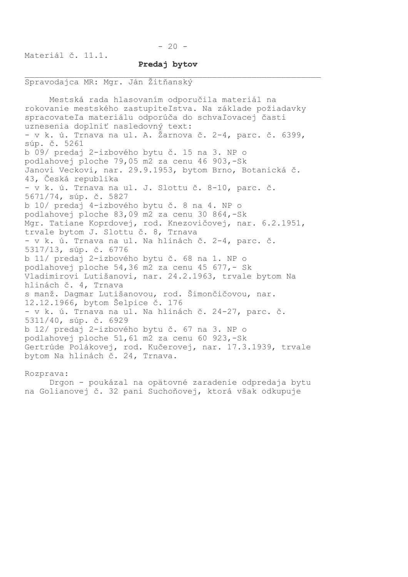$-20 -$ 

Materiál č. 11.1.

## Predaj bytov

### Spravodajca MR: Mgr. Ján Žitňanský

Mestská rada hlasovaním odporučila materiál na rokovanie mestského zastupiteľstva. Na základe požiadavky spracovateľa materiálu odporúča do schvaľovacej časti uznesenia doplniť nasledovný text: - v k. ú. Trnava na ul. A. Žarnova č. 2-4, parc. č. 6399, súp. č. 5261 b 09/ predaj 2-izbového bytu č. 15 na 3. NP o podlahovej ploche 79,05 m2 za cenu 46 903,-Sk Janovi Veckovi, nar. 29.9.1953, bytom Brno, Botanická č. 43, Česká republika - v k. ú. Trnava na ul. J. Slottu č. 8-10, parc. č. 5671/74, súp. č. 5827 b 10/ predaj 4-izbového bytu č. 8 na 4. NP o podlahovej ploche 83,09 m2 za cenu 30 864,-Sk Mgr. Tatiane Koprdovej, rod. Knezovičovej, nar. 6.2.1951, trvale bytom J. Slottu č. 8, Trnava - v k. ú. Trnava na ul. Na hlinách č. 2-4, parc. č. 5317/13, súp. č. 6776 b 11/ predaj 2-izbového bytu č. 68 na 1. NP o podlahovej ploche 54,36 m2 za cenu 45 677,- Sk Vladimírovi Lutišanovi, nar. 24.2.1963, trvale bytom Na hlinách č. 4, Trnava s manž. Dagmar Lutišanovou, rod. Šimončičovou, nar. 12.12.1966, bytom Šelpice č. 176 - v k. ú. Trnava na ul. Na hlinách č. 24-27, parc. č. 5311/40, súp. č. 6929 b 12/ predaj 2-izbového bytu č. 67 na 3. NP o podlahovej ploche 51,61 m2 za cenu 60 923,-Sk Gertrúde Polákovej, rod. Kučerovej, nar. 17.3.1939, trvale bytom Na hlinách č. 24, Trnava.

Rozprava: Drgon - poukázal na opätovné zaradenie odpredaja bytu na Golianovej č. 32 pani Suchoňovej, ktorá však odkupuje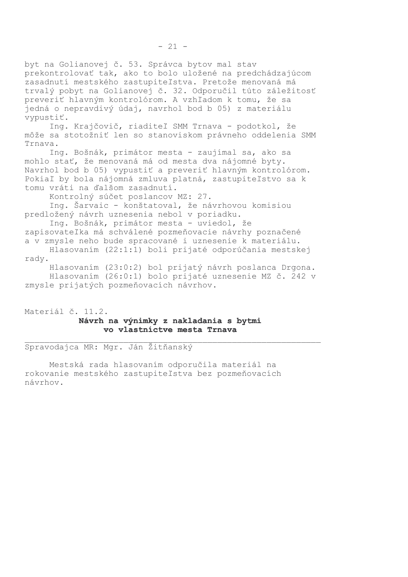byt na Golianovej č. 53. Správca bytov mal stav prekontrolovať tak, ako to bolo uložené na predchádzajúcom zasadnutí mestského zastupiteľstva. Pretože menovaná má trvalý pobyt na Golianovej č. 32. Odporučil túto záležitosť preveriť hlavným kontrolórom. A vzhľadom k tomu, že sa jedná o nepravdivý údaj, navrhol bod b 05) z materiálu vypustiť.

Ing. Krajčovič, riaditeľ SMM Trnava - podotkol, že môže sa stotožniť len so stanoviskom právneho oddelenia SMM Trnava.

Ing. Bošnák, primátor mesta - zaujímal sa, ako sa mohlo stať, že menovaná má od mesta dva nájomné byty. Navrhol bod b 05) vypustiť a preveriť hlavným kontrolórom. Pokiaľ by bola nájomná zmluva platná, zastupiteľstvo sa k tomu vráti na ďalšom zasadnutí.

Kontrolný súčet poslancov MZ: 27.

Ing. Šarvaic - konštatoval, že návrhovou komisiou predložený návrh uznesenia nebol v poriadku.

Ing. Bošnák, primátor mesta - uviedol, že zapisovateľka má schválené pozmeňovacie návrhy poznačené a v zmysle neho bude spracované i uznesenie k materiálu.

Hlasovaním (22:1:1) boli prijaté odporúčania mestskej rady.

Hlasovaním (23:0:2) bol prijatý návrh poslanca Drgona. Hlasovaním (26:0:1) bolo prijaté uznesenie MZ č. 242 v zmysle prijatých pozmeňovacích návrhov.

Materiál č. 11.2. Návrh na výnimky z nakladania s bytmi vo vlastníctve mesta Trnava

Spravodajca MR: Mgr. Ján Žitňanský

Mestská rada hlasovaním odporučila materiál na rokovanie mestského zastupiteľstva bez pozmeňovacích návrhov.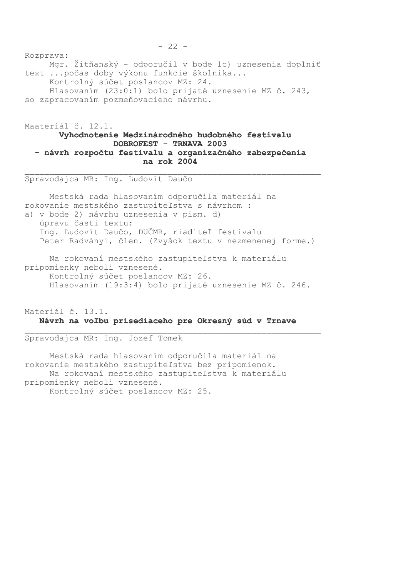Rozprava: Mgr. Žitňanský - odporučil v bode 1c) uznesenia doplniť text ... počas doby výkonu funkcie školníka... Kontrolný súčet poslancov MZ: 24. Hlasovaním (23:0:1) bolo prijaté uznesenie MZ č. 243, so zapracovaním pozmeňovacieho návrhu.

# Maateriál č. 12.1. Vyhodnotenie Medzinárodného hudobného festivalu **DOBROFEST - TRNAVA 2003** - návrh rozpočtu festivalu a organizačného zabezpečenia na rok 2004

Spravodajca MR: Inq. Ľudovít Daučo

Mestská rada hlasovaním odporučila materiál na rokovanie mestského zastupiteľstva s návrhom : a) v bode 2) návrhu uznesenia v písm. d) úpravu časti textu: Ing. Ľudovít Daučo, DUČMR, riaditeľ festivalu Peter Radványi, člen. (Zvyšok textu v nezmenenej forme.)

Na rokovaní mestského zastupiteľstva k materiálu pripomienky neboli vznesené. Kontrolný súčet poslancov MZ: 26. Hlasovaním (19:3:4) bolo prijaté uznesenie MZ č. 246.

# Materiál č. 13.1. Návrh na voľbu prísediaceho pre Okresný súd v Trnave

Spravodajca MR: Ing. Jozef Tomek

Mestská rada hlasovaním odporučila materiál na rokovanie mestského zastupiteľstva bez pripomienok. Na rokovaní mestského zastupiteľstva k materiálu pripomienky neboli vznesené. Kontrolný súčet poslancov MZ: 25.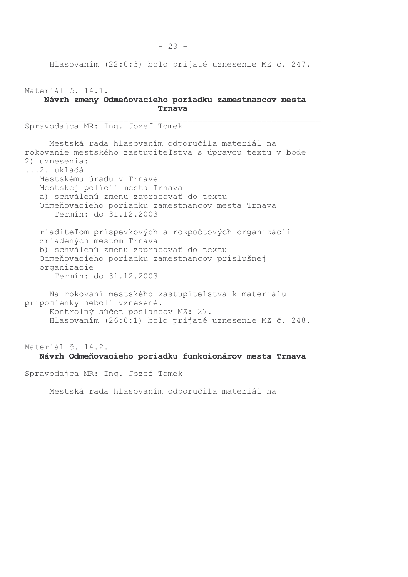$-23 -$ 

Hlasovaním (22:0:3) bolo prijaté uznesenie MZ č. 247.

Materiál č. 14.1. Návrh zmeny Odmeňovacieho poriadku zamestnancov mesta Trnava

Spravodajca MR: Ing. Jozef Tomek Mestská rada hlasovaním odporučila materiál na rokovanie mestského zastupiteľstva s úpravou textu v bode 2) uznesenia: ...2. ukladá Mestskému úradu v Trnave Mestskej polícii mesta Trnava a) schválenú zmenu zapracovať do textu Odmeňovacieho poriadku zamestnancov mesta Trnava Termín: do 31.12.2003 riaditeľom príspevkových a rozpočtových organizácií zriadených mestom Trnava b) schválenú zmenu zapracovať do textu Odmeňovacieho poriadku zamestnancov príslušnej organizácie Termín: do 31.12.2003 Na rokovaní mestského zastupiteľstva k materiálu pripomienky neboli vznesené. Kontrolný súčet poslancov MZ: 27. Hlasovaním (26:0:1) bolo prijaté uznesenie MZ č. 248.

Materiál č. 14.2. Návrh Odmeňovacieho poriadku funkcionárov mesta Trnava

Spravodajca MR: Ing. Jozef Tomek

Mestská rada hlasovaním odporučila materiál na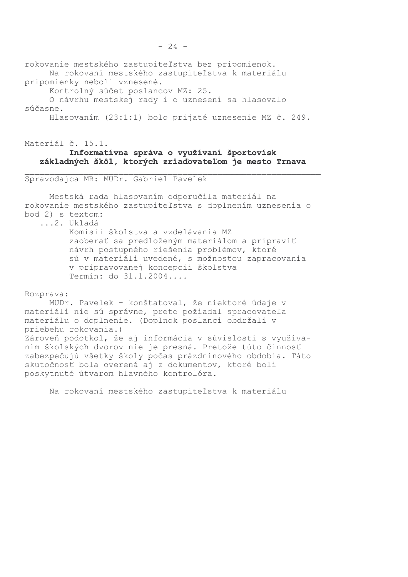rokovanie mestského zastupiteľstva bez pripomienok. Na rokovaní mestského zastupiteľstva k materiálu

pripomienky neboli vznesené.

Kontrolný súčet poslancov MZ: 25.

O návrhu mestskej rady i o uznesení sa hlasovalo súčasne.

Hlasovaním (23:1:1) bolo prijaté uznesenie MZ č. 249.

# Materiál č. 15.1. Informatívna správa o využívaní športovísk základných škôl, ktorých zriaďovateľom je mesto Trnava

Spravodajca MR: MUDr. Gabriel Pavelek

Mestská rada hlasovaním odporučila materiál na rokovanie mestského zastupiteľstva s doplnením uznesenia o bod 2) s textom:

...2. Ukladá Komisii školstva a vzdelávania MZ zaoberať sa predloženým materiálom a pripraviť návrh postupného riešenia problémov, ktoré sú v materiáli uvedené, s možnosťou zapracovania v pripravovanej koncepcii školstva Termín: do 31.1.2004....

#### Rozprava:

MUDr. Pavelek - konštatoval, že niektoré údaje v materiáli nie sú správne, preto požiadal spracovateľa materiálu o doplnenie. (Doplnok poslanci obdržali v priebehu rokovania.) Zároveň podotkol, že aj informácia v súvislosti s využívaním školských dvorov nie je presná. Pretože túto činnosť zabezpečujú všetky školy počas prázdninového obdobia. Táto skutočnosť bola overená aj z dokumentov, ktoré boli poskytnuté útvarom hlavného kontrolóra.

Na rokovaní mestského zastupiteľstva k materiálu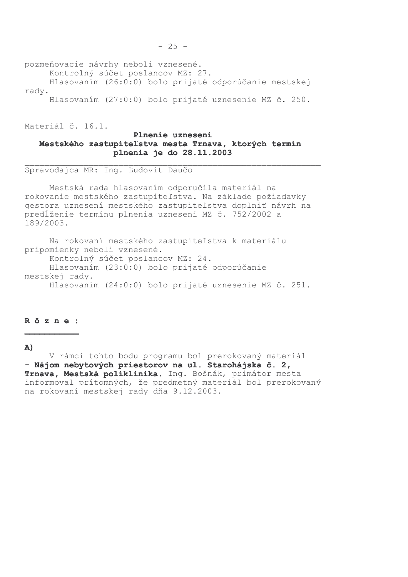pozmeňovacie návrhy neboli vznesené.

Kontrolný súčet poslancov MZ: 27.

Hlasovaním (26:0:0) bolo prijaté odporúčanie mestskej rady.

Hlasovaním (27:0:0) bolo prijaté uznesenie MZ č. 250.

Materiál č. 16.1.

## Plnenie uznesení Mestského zastupiteľstva mesta Trnava, ktorých termín plnenia je do 28.11.2003

Spravodajca MR: Ing. Ľudovít Daučo

Mestská rada hlasovaním odporučila materiál na rokovanie mestského zastupiteľstva. Na základe požiadavky gestora uznesení mestského zastupiteľstva doplniť návrh na predĺženie termínu plnenia uznesení MZ č. 752/2002 a 189/2003.

Na rokovaní mestského zastupiteľstva k materiálu pripomienky neboli vznesené. Kontrolný súčet poslancov MZ: 24. Hlasovaním (23:0:0) bolo prijaté odporúčanie mestskej rady. Hlasovaním (24:0:0) bolo prijaté uznesenie MZ č. 251.

### Rôzne:

### A)

V rámci tohto bodu programu bol prerokovaný materiál - Nájom nebytových priestorov na ul. Starohájska č. 2, Trnava, Mestská poliklinika. Ing. Bošnák, primátor mesta informoval prítomných, že predmetný materiál bol prerokovaný na rokovaní mestskej rady dňa 9.12.2003.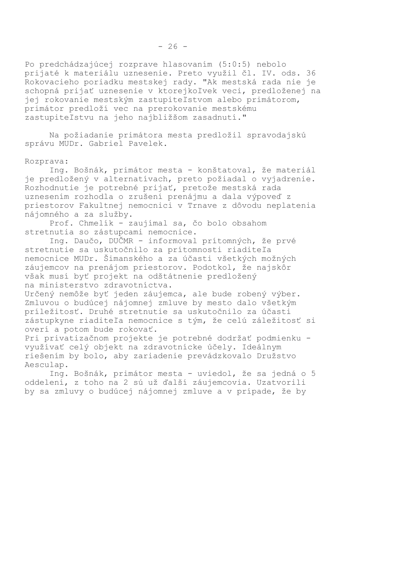Po predchádzajúcej rozprave hlasovaním (5:0:5) nebolo prijaté k materiálu uznesenie. Preto využil čl. IV. ods. 36 Rokovacieho poriadku mestskej rady. "Ak mestská rada nie je schopná prijať uznesenie v ktorejkoľvek veci, predloženej na jej rokovanie mestským zastupiteľstvom alebo primátorom, primátor predloží vec na prerokovanie mestskému zastupiteľstvu na jeho najbližšom zasadnutí."

Na požiadanie primátora mesta predložil spravodajskú správu MUDr. Gabriel Pavelek.

### Rozprava:

Ing. Bošnák, primátor mesta - konštatoval, že materiál je predložený v alternatívach, preto požiadal o vyjadrenie. Rozhodnutie je potrebné prijať, pretože mestská rada uznesením rozhodla o zrušení prenájmu a dala výpoveď z priestorov Fakultnej nemocnici v Trnave z dôvodu neplatenia nájomného a za služby.

Prof. Chmelík - zaujímal sa, čo bolo obsahom stretnutia so zástupcami nemocnice.

Ing. Daučo, DUČMR - informoval prítomných, že prvé stretnutie sa uskutočnilo za prítomnosti riaditeľa nemocnice MUDr. Šimanského a za účasti všetkých možných záujemcov na prenájom priestorov. Podotkol, že najskôr však musí byť projekt na odštátnenie predložený na ministerstvo zdravotníctva.

Určený nemôže byť jeden záujemca, ale bude robený výber. Zmluvou o budúcej nájomnej zmluve by mesto dalo všetkým príležitosť. Druhé stretnutie sa uskutočnilo za účasti zástupkyne riaditeľa nemocnice s tým, že celú záležitosť si overí a potom bude rokovať.

Pri privatizačnom projekte je potrebné dodržať podmienku využívať celý objekt na zdravotnícke účely. Ideálnym riešením by bolo, aby zariadenie prevádzkovalo Družstvo Aesculap.

Ing. Bošnák, primátor mesta - uviedol, že sa jedná o 5 oddelení, z toho na 2 sú už ďalší záujemcovia. Uzatvorili by sa zmluvy o budúcej nájomnej zmluve a v prípade, že by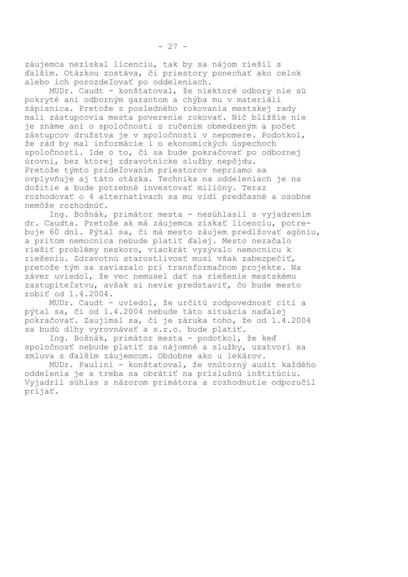záujemca nezískal licenciu, tak by sa nájom riešil s ďalším. Otázkou zostáva, či priestory ponechať ako celok alebo ich porozdeľovať po oddeleniach.

MUDr. Caudt - konštatoval, že niektoré odbory nie sú pokryté ani odborným garantom a chýba mu v materiáli zápisnica. Pretože z posledného rokovania mestskej rady mali zástupcovia mesta poverenie rokovať. Nič bližšie nie je známe ani o spoločnosti s ručením obmedzeným a počet zástupcov družstva je v spoločnosti v nepomere. Podotkol, že rád by mal informácie i o ekonomických úspechoch spoločnosti. Ide o to, či sa bude pokračovať po odbornej úrovni, bez ktorej zdravotnícke služby nepôjdu. Pretože týmto prideľovaním priestorov nepriamo sa ovplyvňuje aj táto otázka. Technika na oddeleniach je na dožitie a bude potrebné investovať milióny. Teraz rozhodovať o 4 alternatívach sa mu vidí predčasné a osobne nemôže rozhodnúť.

Ing. Bošnák, primátor mesta - nesúhlasil s vyjadrením dr. Caudta. Pretože ak má záujemca získať licenciu, potrebuje 60 dní. Pýtal sa, či má mesto záujem predlžovať agóniu, a pritom nemocnica nebude platiť ďalej. Mesto nezačalo riešiť problémy neskoro, viackrát vyzývalo nemocnicu k riešeniu. Zdravotnú starostlivosť musí však zabezpečiť, pretože tým sa zaviazalo pri transformačnom projekte. Na záver uviedol, že vec nemusel dať na riešenie mestskému zastupiteľstvu, avšak si nevie predstaviť, čo bude mesto robiť od 1.4.2004.

MUDr. Caudt - uviedol, že určitú zodpovednosť cíti a pýtal sa, či od 1.4.2004 nebude táto situácia naďalej pokračovať. Zaujímal sa, či je záruka toho, že od 1.4.2004 sa budú dlhy vyrovnávať a s.r.o. bude platiť.

Ing. Bošnák, primátor mesta - podotkol, že keď spoločnosť nebude platiť za nájomné a služby, uzatvorí sa zmluva s ďalším záujemcom. Obdobne ako u lekárov.

MUDr. Paulini - konštatoval, že vnútorný audit každého oddelenia je a treba sa obrátiť na príslušnú inštitúciu. Vyjadril súhlas s názorom primátora a rozhodnutie odporučil prijať.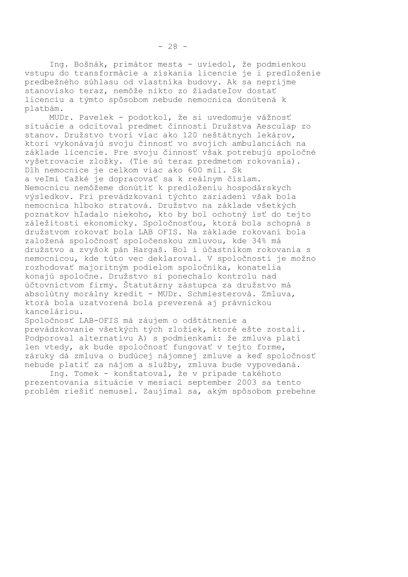Ing. Bošnák, primátor mesta - uviedol, že podmienkou vstupu do transformácie a získania licencie je i predloženie predbežného súhlasu od vlastníka budovy. Ak sa neprijme stanovisko teraz, nemôže nikto zo žiadateľov dostať licenciu a týmto spôsobom nebude nemocnica donútená k platbám.

MUDr. Pavelek - podotkol, že si uvedomuje vážnosť situácie a odcitoval predmet činnosti Družstva Aesculap zo stanov. Družstvo tvorí viac ako 120 neštátnych lekárov, ktorí vykonávajú svoju činnosť vo svojich ambulanciách na základe licencie. Pre svoju činnosť však potrebujú spoločné vyšetrovacie zložky. (Tie sú teraz predmetom rokovania). Dlh nemocnice je celkom viac ako 600 mil. Sk a veľmi ťažké je dopracovať sa k reálnym číslam. Nemocnicu nemôžeme donútiť k predloženiu hospodárskych výsledkov. Pri prevádzkovaní týchto zariadení však bola nemocnica hlboko stratová. Družstvo na základe všetkých poznatkov hľadalo niekoho, kto by bol ochotný ísť do tejto záležitosti ekonomicky. Spoločnosťou, ktorá bola schopná s družstvom rokovať bola LAB OFIS. Na základe rokovaní bola založená spoločnosť spoločenskou zmluvou, kde 34% má družstvo a zvyšok pán Hargaš. Bol i účastníkom rokovania s nemocnicou, kde túto vec deklaroval. V spoločnosti je možno rozhodovať majoritným podielom spoločníka, konatelia konajú spoločne. Družstvo si ponechalo kontrolu nad účtovníctvom firmy. Štatutárny zástupca za družstvo má absolútny morálny kredit - MUDr. Schmiesterová. Zmluva, ktorá bola uzatvorená bola preverená aj právnickou kanceláriou.

Spoločnosť LAB-OFIS má záujem o odštátnenie a prevádzkovanie všetkých tých zložiek, ktoré ešte zostali. Podporoval alternatívu A) s podmienkami: že zmluva platí len vtedy, ak bude spoločnosť fungovať v tejto forme, záruky dá zmluva o budúcej nájomnej zmluve a keď spoločnosť nebude platiť za nájom a služby, zmluva bude vypovedaná.

Ing. Tomek - konštatoval, že v prípade takéhoto prezentovania situácie v mesiaci september 2003 sa tento problém riešiť nemusel. Zaujímal sa, akým spôsobom prebehne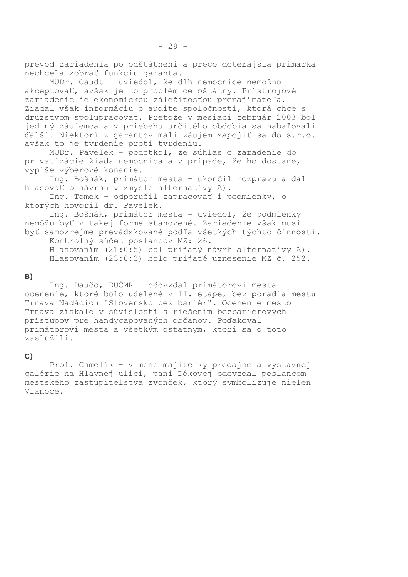prevod zariadenia po odštátnení a prečo doterajšia primárka nechcela zobrať funkciu garanta.

MUDr. Caudt - uviedol, že dlh nemocnice nemožno akceptovať, avšak je to problém celoštátny. Prístrojové zariadenie je ekonomickou záležitosťou prenajímateľa. Žiadal však informáciu o audite spoločnosti, ktorá chce s družstvom spolupracovať. Pretože v mesiaci február 2003 bol jediný záujemca a v priebehu určitého obdobia sa nabaľovali ďalší. Niektorí z garantov mali záujem zapojiť sa do s.r.o. avšak to je tvrdenie proti tvrdeniu.

MUDr. Pavelek - podotkol, že súhlas o zaradenie do privatizácie žiada nemocnica a v prípade, že ho dostane, vypíše výberové konanie.

Ing. Bošnák, primátor mesta - ukončil rozpravu a dal hlasovať o návrhu v zmysle alternatívy A).

Ing. Tomek - odporučil zapracovať i podmienky, o ktorých hovoril dr. Pavelek.

Ing. Bošnák, primátor mesta - uviedol, že podmienky nemôžu byť v takej forme stanovené. Zariadenie však musí byť samozrejme prevádzkované podľa všetkých týchto činností.

Kontrolný súčet poslancov MZ: 26. Hlasovaním (21:0:5) bol prijatý návrh alternatívy A). Hlasovaním (23:0:3) bolo prijaté uznesenie MZ č. 252.

### $B)$

Ing. Daučo, DUČMR - odovzdal primátorovi mesta ocenenie, ktoré bolo udelené v II. etape, bez poradia mestu Trnava Nadáciou "Slovensko bez bariér". Ocenenie mesto Trnava získalo v súvislosti s riešením bezbariérových prístupov pre handycapovaných občanov. Poďakoval primátorovi mesta a všetkým ostatným, ktorí sa o toto zaslúžili.

## $C)$

Prof. Chmelik - v mene majiteľky predajne a výstavnej galérie na Hlavnej ulici, pani Dókovej odovzdal poslancom mestského zastupiteľstva zvonček, ktorý symbolizuje nielen Vianoce.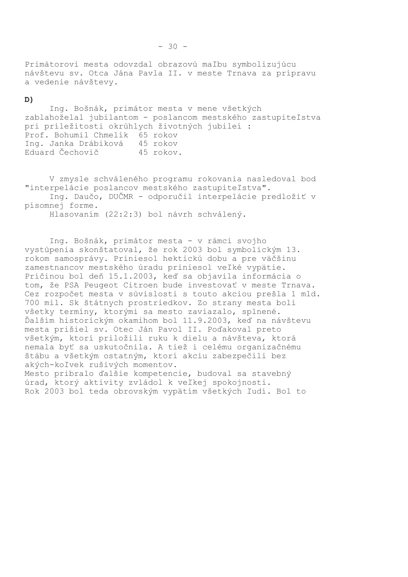Primátorovi mesta odovzdal obrazovú maľbu symbolizujúcu návštevu sv. Otca Jána Pavla II. v meste Trnava za prípravu a vedenie návštevy.

### D)

Ing. Bošnák, primátor mesta v mene všetkých zablahoželal jubilantom - poslancom mestského zastupiteľstva pri príležitosti okrúhlych životných jubileí : Prof. Bohumil Chmelik 65 rokov Ing. Janka Drábiková 45 rokov Eduard Čechovič 45 rokov.

V zmysle schváleného programu rokovania nasledoval bod "interpelácie poslancov mestského zastupiteľstva".

Ing. Daučo, DUČMR - odporučil interpelácie predložiť v písomnej forme.

Hlasovaním (22:2:3) bol návrh schválený.

Ing. Bošnák, primátor mesta - v rámci svojho vystúpenia skonštatoval, že rok 2003 bol symbolickým 13. rokom samosprávy. Priniesol hektickú dobu a pre väčšinu zamestnancov mestského úradu priniesol veľké vypätie. Príčinou bol deň 15.1.2003, keď sa objavila informácia o tom, že PSA Peugeot Citroen bude investovať v meste Trnava. Cez rozpočet mesta v súvislosti s touto akciou prešla 1 mld. 700 mil. Sk štátnych prostriedkov. Zo strany mesta boli všetky termíny, ktorými sa mesto zaviazalo, splnené. Ďalším historickým okamihom bol 11.9.2003, keď na návštevu mesta prišiel sv. Otec Ján Pavol II. Poďakoval preto všetkým, ktorí priložili ruku k dielu a návšteva, ktorá nemala byť sa uskutočnila. A tiež i celému organizačnému štábu a všetkým ostatným, ktorí akciu zabezpečili bez akých-koľvek rušivých momentov.

Mesto pribralo ďalšie kompetencie, budoval sa stavebný úrad, ktorý aktivity zvládol k veľkej spokojnosti. Rok 2003 bol teda obrovským vypätím všetkých ľudí. Bol to